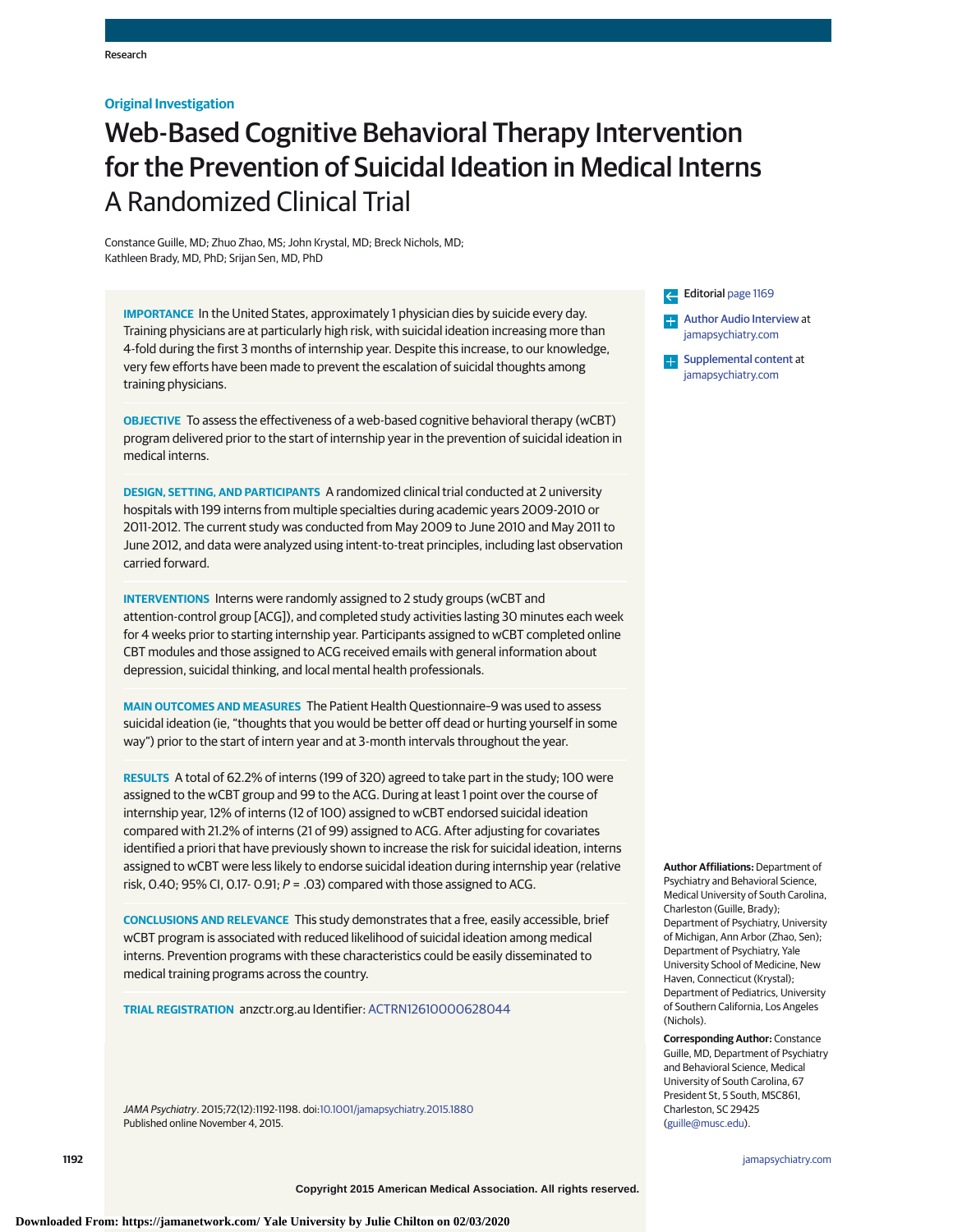# **Original Investigation**

# Web-Based Cognitive Behavioral Therapy Intervention for the Prevention of Suicidal Ideation in Medical Interns A Randomized Clinical Trial

Constance Guille, MD; Zhuo Zhao, MS; John Krystal, MD; Breck Nichols, MD; Kathleen Brady, MD, PhD; Srijan Sen, MD, PhD

**IMPORTANCE** In the United States, approximately 1 physician dies by suicide every day. Training physicians are at particularly high risk, with suicidal ideation increasing more than 4-fold during the first 3 months of internship year. Despite this increase, to our knowledge, very few efforts have been made to prevent the escalation of suicidal thoughts among training physicians.

**OBJECTIVE** To assess the effectiveness of a web-based cognitive behavioral therapy (wCBT) program delivered prior to the start of internship year in the prevention of suicidal ideation in medical interns.

**DESIGN, SETTING, AND PARTICIPANTS** A randomized clinical trial conducted at 2 university hospitals with 199 interns from multiple specialties during academic years 2009-2010 or 2011-2012. The current study was conducted from May 2009 to June 2010 and May 2011 to June 2012, and data were analyzed using intent-to-treat principles, including last observation carried forward.

**INTERVENTIONS** Interns were randomly assigned to 2 study groups (wCBT and attention-control group [ACG]), and completed study activities lasting 30 minutes each week for 4 weeks prior to starting internship year. Participants assigned to wCBT completed online CBT modules and those assigned to ACG received emails with general information about depression, suicidal thinking, and local mental health professionals.

**MAIN OUTCOMES AND MEASURES** The Patient Health Questionnaire–9 was used to assess suicidal ideation (ie, "thoughts that you would be better off dead or hurting yourself in some way") prior to the start of intern year and at 3-month intervals throughout the year.

**RESULTS** A total of 62.2% of interns (199 of 320) agreed to take part in the study; 100 were assigned to the wCBT group and 99 to the ACG. During at least 1 point over the course of internship year, 12% of interns (12 of 100) assigned to wCBT endorsed suicidal ideation compared with 21.2% of interns (21 of 99) assigned to ACG. After adjusting for covariates identified a priori that have previously shown to increase the risk for suicidal ideation, interns assigned to wCBT were less likely to endorse suicidal ideation during internship year (relative risk, 0.40; 95% CI, 0.17- 0.91;  $P = .03$ ) compared with those assigned to ACG.

**CONCLUSIONS AND RELEVANCE** This study demonstrates that a free, easily accessible, brief wCBT program is associated with reduced likelihood of suicidal ideation among medical interns. Prevention programs with these characteristics could be easily disseminated to medical training programs across the country.

**TRIAL REGISTRATION** anzctr.org.au Identifier: [ACTRN12610000628044](http://www.anzctr.org.au/trial_view.aspx?ACTRN=ACTRN12610000628044)

JAMA Psychiatry. 2015;72(12):1192-1198. doi[:10.1001/jamapsychiatry.2015.1880](http://jama.jamanetwork.com/article.aspx?doi=10.1001/jamapsychiatry.2015.1880&utm_campaign=articlePDF%26utm_medium=articlePDFlink%26utm_source=articlePDF%26utm_content=jamapsychiatry.2015.1880) Published online November 4, 2015.

Editorial [page 1169](http://jama.jamanetwork.com/article.aspx?doi=10.1001/jamapsychiatry.2015.2112&utm_campaign=articlePDF%26utm_medium=articlePDFlink%26utm_source=articlePDF%26utm_content=jamapsychiatry.2015.1880)

**Example 2** [Author Audio Interview](http://jama.jamanetwork.com/article.aspx?doi=10.1001/jamapsychiatry.2015.1880&utm_campaign=articlePDF%26utm_medium=articlePDFlink%26utm_source=articlePDF%26utm_content=jamapsychiatry.2015.1880) at [jamapsychiatry.com](http://www.jamapsychiatry.com/?utm_campaign=articlePDF%26utm_medium=articlePDFlink%26utm_source=articlePDF%26utm_content=jamapsychiatry.2015.1880)

**[Supplemental content](http://jama.jamanetwork.com/article.aspx?doi=10.1001/jamapsychiatry.2015.1880&utm_campaign=articlePDF%26utm_medium=articlePDFlink%26utm_source=articlePDF%26utm_content=jamapsychiatry.2015.1880) at** [jamapsychiatry.com](http://www.jamapsychiatry.com/?utm_campaign=articlePDF%26utm_medium=articlePDFlink%26utm_source=articlePDF%26utm_content=jamapsychiatry.2015.1880)

**Author Affiliations:** Department of Psychiatry and Behavioral Science, Medical University of South Carolina, Charleston (Guille, Brady); Department of Psychiatry, University of Michigan, Ann Arbor (Zhao, Sen); Department of Psychiatry, Yale University School of Medicine, New Haven, Connecticut (Krystal); Department of Pediatrics, University of Southern California, Los Angeles (Nichols).

**Corresponding Author:** Constance Guille, MD, Department of Psychiatry and Behavioral Science, Medical University of South Carolina, 67 President St, 5 South, MSC861, Charleston, SC 29425 [\(guille@musc.edu\)](mailto:guille@musc.edu).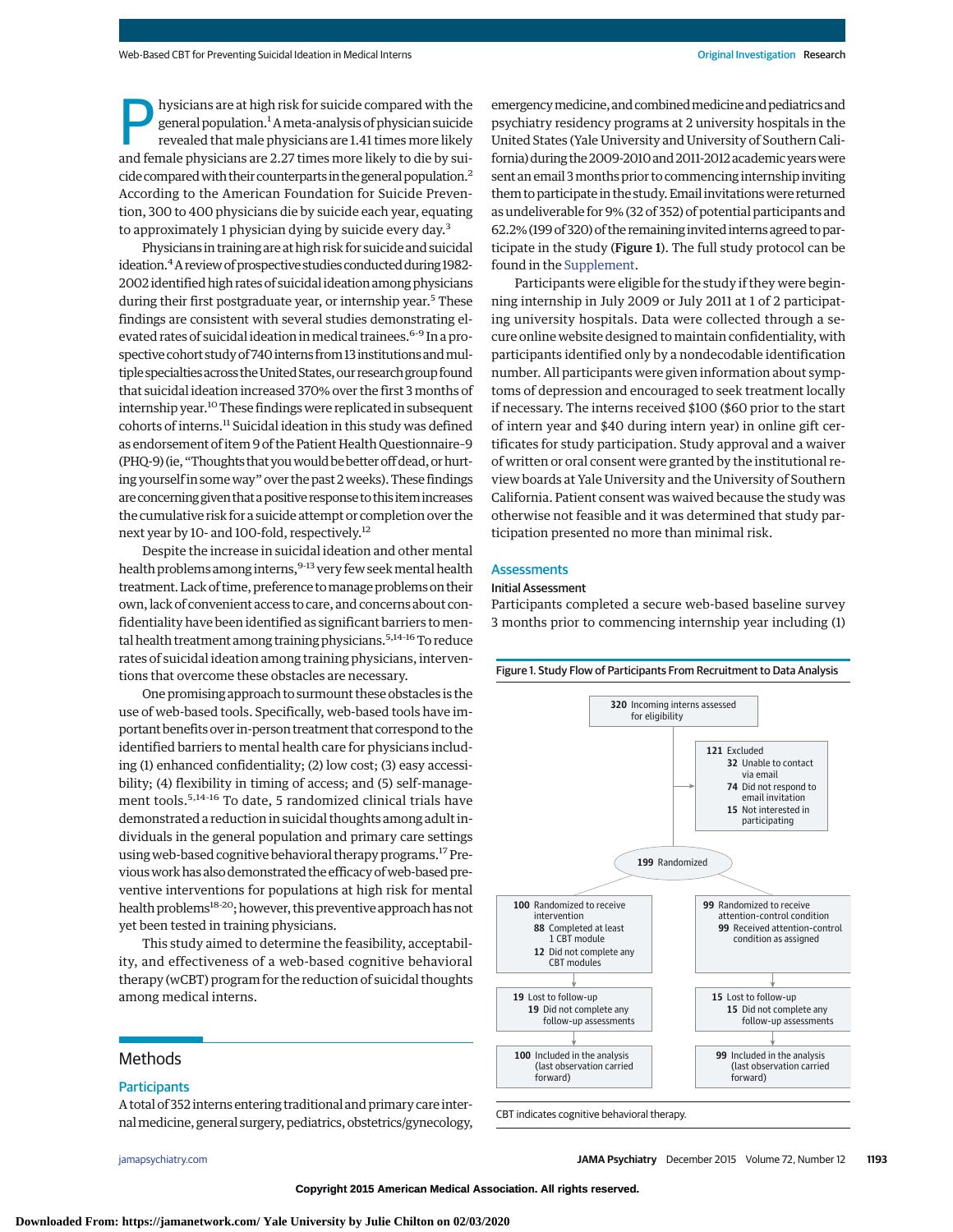hysicians are at high risk for suicide compared with the general population.1 Ameta-analysis of physician suicide revealed that male physicians are 1.41 times more likely and female physicians are 2.27 times more likely to die by suicide compared with their counterparts in the general population.<sup>2</sup> According to the American Foundation for Suicide Prevention, 300 to 400 physicians die by suicide each year, equating to approximately 1 physician dying by suicide every day.<sup>3</sup>

Physicians in training are at high risk for suicide and suicidal ideation.<sup>4</sup> A review of prospective studies conducted during 1982-2002 identified high rates of suicidal ideation among physicians during their first postgraduate year, or internship year.<sup>5</sup> These findings are consistent with several studies demonstrating elevated rates of suicidal ideation in medical trainees.<sup>6-9</sup> In a prospective cohort study of 740 interns from 13 institutions and multiple specialties across the United States, our research group found that suicidal ideation increased 370% over the first 3 months of internship year.10 These findings were replicated in subsequent cohorts of interns.11 Suicidal ideation in this study was defined as endorsement of item 9 of the Patient Health Questionnaire–9 (PHQ-9) (ie, "Thoughts that you would be better off dead, or hurting yourself in someway" over the past 2weeks). These findings are concerning given that a positive response to this item increases the cumulative risk for a suicide attempt or completion over the next year by 10- and 100-fold, respectively.<sup>12</sup>

Despite the increase in suicidal ideation and other mental health problems among interns, 9-13 very few seek mental health treatment. Lack of time, preference tomanage problems on their own, lack of convenient access to care, and concerns about confidentiality have been identified as significant barriers to mental health treatment among training physicians.<sup>5,14-16</sup> To reduce rates of suicidal ideation among training physicians, interventions that overcome these obstacles are necessary.

One promising approach to surmount these obstacles is the use of web-based tools. Specifically, web-based tools have important benefits over in-person treatment that correspond to the identified barriers to mental health care for physicians including (1) enhanced confidentiality; (2) low cost; (3) easy accessibility; (4) flexibility in timing of access; and (5) self-management tools.5,14-16 To date, 5 randomized clinical trials have demonstrated a reduction in suicidal thoughts among adult individuals in the general population and primary care settings using web-based cognitive behavioral therapy programs.<sup>17</sup> Previous work has also demonstrated the efficacy of web-based preventive interventions for populations at high risk for mental health problems<sup>18-20</sup>; however, this preventive approach has not yet been tested in training physicians.

This study aimed to determine the feasibility, acceptability, and effectiveness of a web-based cognitive behavioral therapy (wCBT) program for the reduction of suicidal thoughts among medical interns.

# Methods

## **Participants**

A total of 352 interns entering traditional and primary care internalmedicine, general surgery, pediatrics, obstetrics/gynecology,

emergency medicine, and combined medicine and pediatrics and psychiatry residency programs at 2 university hospitals in the United States (Yale University and University of Southern California) during the 2009-2010 and 2011-2012 academic years were sent an email 3months prior to commencing internship inviting them to participate in the study. Email invitations were returned as undeliverable for 9% (32 of 352) of potential participants and 62.2% (199 of 320) of the remaining invited interns agreed toparticipate in the study (Figure 1). The full study protocol can be found in the [Supplement.](http://jama.jamanetwork.com/article.aspx?doi=10.1001/jamapsychiatry.2015.1880&utm_campaign=articlePDF%26utm_medium=articlePDFlink%26utm_source=articlePDF%26utm_content=jamapsychiatry.2015.1880)

Participants were eligible for the study if they were beginning internship in July 2009 or July 2011 at 1 of 2 participating university hospitals. Data were collected through a secure online website designed to maintain confidentiality, with participants identified only by a nondecodable identification number. All participants were given information about symptoms of depression and encouraged to seek treatment locally if necessary. The interns received \$100 (\$60 prior to the start of intern year and \$40 during intern year) in online gift certificates for study participation. Study approval and a waiver of written or oral consent were granted by the institutional review boards at Yale University and the University of Southern California. Patient consent was waived because the study was otherwise not feasible and it was determined that study participation presented no more than minimal risk.

# **Assessments**

# Initial Assessment

Participants completed a secure web-based baseline survey 3 months prior to commencing internship year including (1)



CBT indicates cognitive behavioral therapy.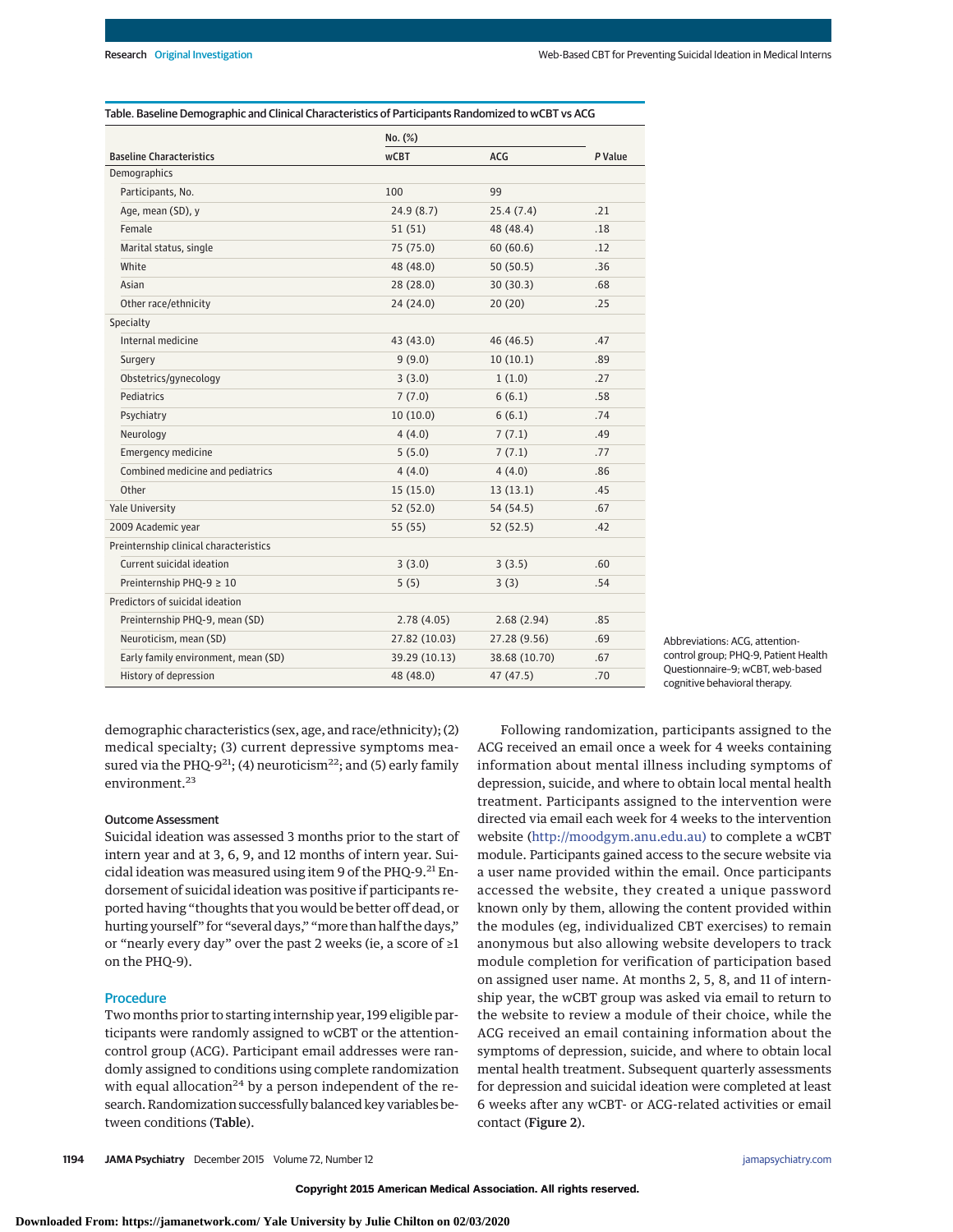|                                        | No. (%)       |               |         |
|----------------------------------------|---------------|---------------|---------|
| <b>Baseline Characteristics</b>        | <b>wCBT</b>   | ACG           | P Value |
| Demographics                           |               |               |         |
| Participants, No.                      | 100           | 99            |         |
| Age, mean (SD), y                      | 24.9(8.7)     | 25.4(7.4)     | .21     |
| Female                                 | 51(51)        | 48 (48.4)     | .18     |
| Marital status, single                 | 75 (75.0)     | 60(60.6)      | .12     |
| White                                  | 48 (48.0)     | 50(50.5)      | .36     |
| Asian                                  | 28(28.0)      | 30(30.3)      | .68     |
| Other race/ethnicity                   | 24(24.0)      | 20(20)        | .25     |
| Specialty                              |               |               |         |
| Internal medicine                      | 43 (43.0)     | 46 (46.5)     | .47     |
| Surgery                                | 9(9.0)        | 10(10.1)      | .89     |
| Obstetrics/gynecology                  | 3(3.0)        | 1(1.0)        | .27     |
| Pediatrics                             | 7(7.0)        | 6(6.1)        | .58     |
| Psychiatry                             | 10(10.0)      | 6(6.1)        | .74     |
| Neurology                              | 4(4.0)        | 7(7.1)        | .49     |
| <b>Emergency medicine</b>              | 5(5.0)        | 7(7.1)        | .77     |
| Combined medicine and pediatrics       | 4(4.0)        | 4(4.0)        | .86     |
| Other                                  | 15(15.0)      | 13(13.1)      | .45     |
| <b>Yale University</b>                 | 52 (52.0)     | 54 (54.5)     | .67     |
| 2009 Academic year                     | 55 (55)       | 52 (52.5)     | .42     |
| Preinternship clinical characteristics |               |               |         |
| Current suicidal ideation              | 3(3.0)        | 3(3.5)        | .60     |
| Preinternship PHQ-9 ≥ 10               | 5(5)          | 3(3)          | .54     |
| Predictors of suicidal ideation        |               |               |         |
| Preinternship PHQ-9, mean (SD)         | 2.78(4.05)    | 2.68(2.94)    | .85     |
| Neuroticism, mean (SD)                 | 27.82 (10.03) | 27.28 (9.56)  | .69     |
| Early family environment, mean (SD)    | 39.29 (10.13) | 38.68 (10.70) | .67     |
| History of depression                  | 48 (48.0)     | 47 (47.5)     | .70     |

|  |  | Table. Baseline Demographic and Clinical Characteristics of Participants Randomized to wCBT vs ACG |
|--|--|----------------------------------------------------------------------------------------------------|
|--|--|----------------------------------------------------------------------------------------------------|

Abbreviations: ACG, attentioncontrol group; PHQ-9, Patient Health Questionnaire–9; wCBT, web-based cognitive behavioral therapy.

demographic characteristics (sex, age, and race/ethnicity); (2) medical specialty; (3) current depressive symptoms measured via the PHQ-9<sup>21</sup>; (4) neuroticism<sup>22</sup>; and (5) early family environment<sup>23</sup>

## Outcome Assessment

Suicidal ideation was assessed 3 months prior to the start of intern year and at 3, 6, 9, and 12 months of intern year. Suicidal ideation was measured using item 9 of the PHQ-9. $^{21}$  Endorsement of suicidal ideation was positive if participants reported having "thoughts that you would be better off dead, or hurting yourself" for "several days," "more than half the days," or "nearly every day" over the past 2 weeks (ie, a score of ≥1 on the PHQ-9).

## **Procedure**

Two months prior to starting internship year, 199 eligible participants were randomly assigned to wCBT or the attentioncontrol group (ACG). Participant email addresses were randomly assigned to conditions using complete randomization with equal allocation<sup>24</sup> by a person independent of the research. Randomization successfully balanced key variables between conditions (Table).

Following randomization, participants assigned to the ACG received an email once a week for 4 weeks containing information about mental illness including symptoms of depression, suicide, and where to obtain local mental health treatment. Participants assigned to the intervention were directed via email each week for 4 weeks to the intervention website [\(http://moodgym.anu.edu.au\)](http://moodgym.anu.edu.au) to complete a wCBT module. Participants gained access to the secure website via a user name provided within the email. Once participants accessed the website, they created a unique password known only by them, allowing the content provided within the modules (eg, individualized CBT exercises) to remain anonymous but also allowing website developers to track module completion for verification of participation based on assigned user name. At months 2, 5, 8, and 11 of internship year, the wCBT group was asked via email to return to the website to review a module of their choice, while the ACG received an email containing information about the symptoms of depression, suicide, and where to obtain local mental health treatment. Subsequent quarterly assessments for depression and suicidal ideation were completed at least 6 weeks after any wCBT- or ACG-related activities or email contact (Figure 2).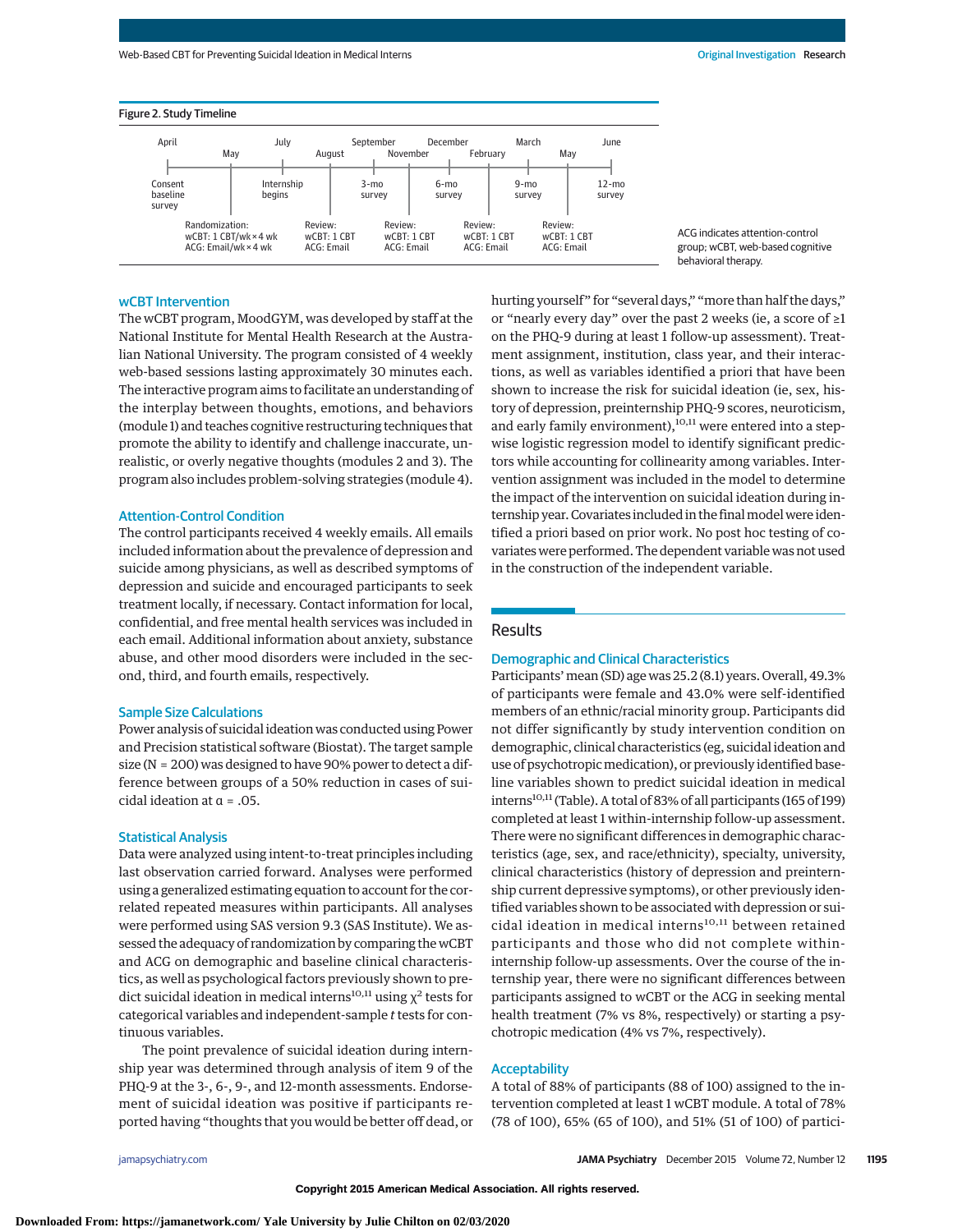## Figure 2. Study Timeline



#### ACG indicates attention-control group; wCBT, web-based cognitive behavioral therapy.

# wCBT Intervention

The wCBT program, MoodGYM, was developed by staff at the National Institute for Mental Health Research at the Australian National University. The program consisted of 4 weekly web-based sessions lasting approximately 30 minutes each. The interactive program aims to facilitate an understanding of the interplay between thoughts, emotions, and behaviors (module 1) and teaches cognitive restructuring techniques that promote the ability to identify and challenge inaccurate, unrealistic, or overly negative thoughts (modules 2 and 3). The program also includes problem-solving strategies (module 4).

#### Attention-Control Condition

The control participants received 4 weekly emails. All emails included information about the prevalence of depression and suicide among physicians, as well as described symptoms of depression and suicide and encouraged participants to seek treatment locally, if necessary. Contact information for local, confidential, and free mental health services was included in each email. Additional information about anxiety, substance abuse, and other mood disorders were included in the second, third, and fourth emails, respectively.

### Sample Size Calculations

Power analysis of suicidal ideation was conducted using Power and Precision statistical software (Biostat). The target sample size (N = 200) was designed to have 90% power to detect a difference between groups of a 50% reduction in cases of suicidal ideation at α = .05.

## Statistical Analysis

Data were analyzed using intent-to-treat principles including last observation carried forward. Analyses were performed using a generalized estimating equation to account for the correlated repeated measures within participants. All analyses were performed using SAS version 9.3 (SAS Institute). We assessed the adequacy of randomization by comparing the wCBT and ACG on demographic and baseline clinical characteristics, as well as psychological factors previously shown to predict suicidal ideation in medical interns<sup>10,11</sup> using  $\chi^2$  tests for categorical variables and independent-sample *t*tests for continuous variables.

The point prevalence of suicidal ideation during internship year was determined through analysis of item 9 of the PHQ-9 at the 3-, 6-, 9-, and 12-month assessments. Endorsement of suicidal ideation was positive if participants reported having "thoughts that you would be better off dead, or hurting yourself" for "several days," "more than half the days," or "nearly every day" over the past 2 weeks (ie, a score of ≥1 on the PHQ-9 during at least 1 follow-up assessment). Treatment assignment, institution, class year, and their interactions, as well as variables identified a priori that have been shown to increase the risk for suicidal ideation (ie, sex, history of depression, preinternship PHQ-9 scores, neuroticism, and early family environment),<sup>10,11</sup> were entered into a stepwise logistic regression model to identify significant predictors while accounting for collinearity among variables. Intervention assignment was included in the model to determine the impact of the intervention on suicidal ideation during internship year. Covariates included in the final model were identified a priori based on prior work. No post hoc testing of covariates were performed. The dependent variable was not used in the construction of the independent variable.

# Results

## Demographic and Clinical Characteristics

Participants'mean (SD) age was 25.2 (8.1) years. Overall, 49.3% of participants were female and 43.0% were self-identified members of an ethnic/racial minority group. Participants did not differ significantly by study intervention condition on demographic, clinical characteristics (eg, suicidal ideation and use of psychotropic medication), or previously identified baseline variables shown to predict suicidal ideation in medical interns<sup>10,11</sup> (Table). A total of 83% of all participants (165 of 199) completed at least 1 within-internship follow-up assessment. There were no significant differences in demographic characteristics (age, sex, and race/ethnicity), specialty, university, clinical characteristics (history of depression and preinternship current depressive symptoms), or other previously identified variables shown to be associated with depression or suicidal ideation in medical interns<sup>10,11</sup> between retained participants and those who did not complete withininternship follow-up assessments. Over the course of the internship year, there were no significant differences between participants assigned to wCBT or the ACG in seeking mental health treatment (7% vs 8%, respectively) or starting a psychotropic medication (4% vs 7%, respectively).

## Acceptability

A total of 88% of participants (88 of 100) assigned to the intervention completed at least 1 wCBT module. A total of 78% (78 of 100), 65% (65 of 100), and 51% (51 of 100) of partici-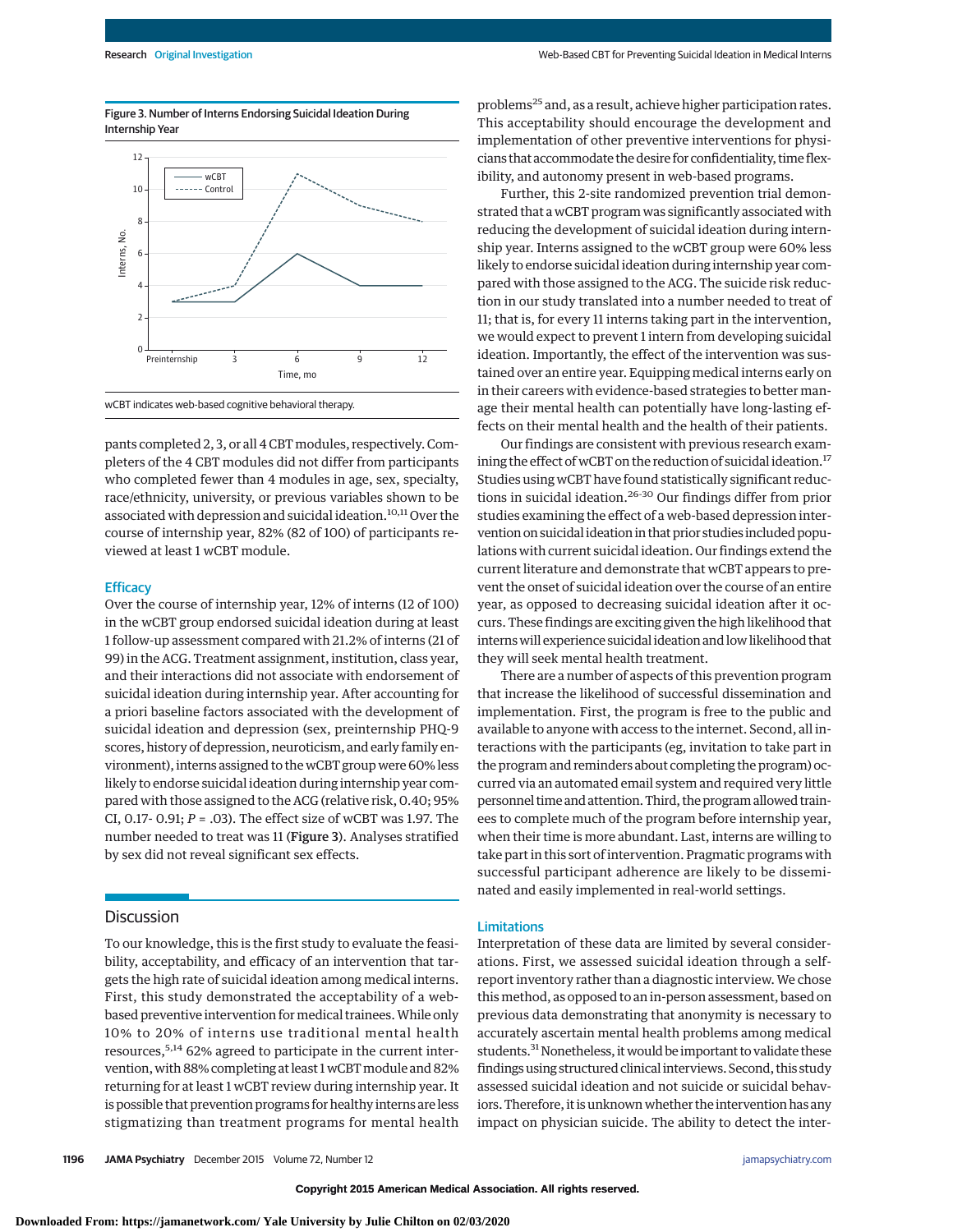



## wCBT indicates web-based cognitive behavioral therapy.

pants completed 2, 3, or all 4 CBT modules, respectively. Completers of the 4 CBT modules did not differ from participants who completed fewer than 4 modules in age, sex, specialty, race/ethnicity, university, or previous variables shown to be associated with depression and suicidal ideation.<sup>10,11</sup> Over the course of internship year, 82% (82 of 100) of participants reviewed at least 1 wCBT module.

## **Efficacy**

Over the course of internship year, 12% of interns (12 of 100) in the wCBT group endorsed suicidal ideation during at least 1 follow-up assessment compared with 21.2% of interns (21 of 99) in the ACG. Treatment assignment, institution, class year, and their interactions did not associate with endorsement of suicidal ideation during internship year. After accounting for a priori baseline factors associated with the development of suicidal ideation and depression (sex, preinternship PHQ-9 scores, history of depression, neuroticism, and early family environment), interns assigned to the wCBT group were 60% less likely to endorse suicidal ideation during internship year compared with those assigned to the ACG (relative risk, 0.40; 95% CI, 0.17- 0.91; *P* = .03). The effect size of wCBT was 1.97. The number needed to treat was 11 (Figure 3). Analyses stratified by sex did not reveal significant sex effects.

# Discussion

To our knowledge, this is the first study to evaluate the feasibility, acceptability, and efficacy of an intervention that targets the high rate of suicidal ideation among medical interns. First, this study demonstrated the acceptability of a webbased preventive intervention formedical trainees.While only 10% to 20% of interns use traditional mental health resources,<sup>5,14</sup> 62% agreed to participate in the current intervention, with 88% completing at least 1 wCBT module and 82% returning for at least 1 wCBT review during internship year. It is possible that prevention programs for healthy interns are less stigmatizing than treatment programs for mental health problems25 and, as a result, achieve higher participation rates. This acceptability should encourage the development and implementation of other preventive interventions for physicians that accommodate the desire for confidentiality, time flexibility, and autonomy present in web-based programs.

Further, this 2-site randomized prevention trial demonstrated that a wCBT program was significantly associated with reducing the development of suicidal ideation during internship year. Interns assigned to the wCBT group were 60% less likely to endorse suicidal ideation during internship year compared with those assigned to the ACG. The suicide risk reduction in our study translated into a number needed to treat of 11; that is, for every 11 interns taking part in the intervention, we would expect to prevent 1 intern from developing suicidal ideation. Importantly, the effect of the intervention was sustained over an entire year. Equipping medical interns early on in their careers with evidence-based strategies to better manage their mental health can potentially have long-lasting effects on their mental health and the health of their patients.

Our findings are consistent with previous research examining the effect of wCBT on the reduction of suicidal ideation.<sup>17</sup> Studies using wCBT have found statistically significant reductions in suicidal ideation.26-30 Our findings differ from prior studies examining the effect of a web-based depression intervention on suicidal ideation in that prior studies included populations with current suicidal ideation. Our findings extend the current literature and demonstrate that wCBT appears to prevent the onset of suicidal ideation over the course of an entire year, as opposed to decreasing suicidal ideation after it occurs. These findings are exciting given the high likelihood that internswill experience suicidal ideation and low likelihood that they will seek mental health treatment.

There are a number of aspects of this prevention program that increase the likelihood of successful dissemination and implementation. First, the program is free to the public and available to anyone with access to the internet. Second, all interactions with the participants (eg, invitation to take part in the program and reminders about completing the program) occurred via an automated email system and required very little personnel time and attention. Third, the program allowed trainees to complete much of the program before internship year, when their time is more abundant. Last, interns are willing to take part in this sort of intervention. Pragmatic programs with successful participant adherence are likely to be disseminated and easily implemented in real-world settings.

### Limitations

Interpretation of these data are limited by several considerations. First, we assessed suicidal ideation through a selfreport inventory rather than a diagnostic interview. We chose this method, as opposed to an in-person assessment, based on previous data demonstrating that anonymity is necessary to accurately ascertain mental health problems among medical students.<sup>31</sup> Nonetheless, it would be important to validate these findings using structured clinical interviews. Second, this study assessed suicidal ideation and not suicide or suicidal behaviors. Therefore, it is unknown whether the intervention has any impact on physician suicide. The ability to detect the inter-

**1196 JAMA Psychiatry** December 2015 Volume 72, Number 12 **(Reprinted)** [jamapsychiatry.com](http://www.jamapsychiatry.com/?utm_campaign=articlePDF%26utm_medium=articlePDFlink%26utm_source=articlePDF%26utm_content=jamapsychiatry.2015.1880)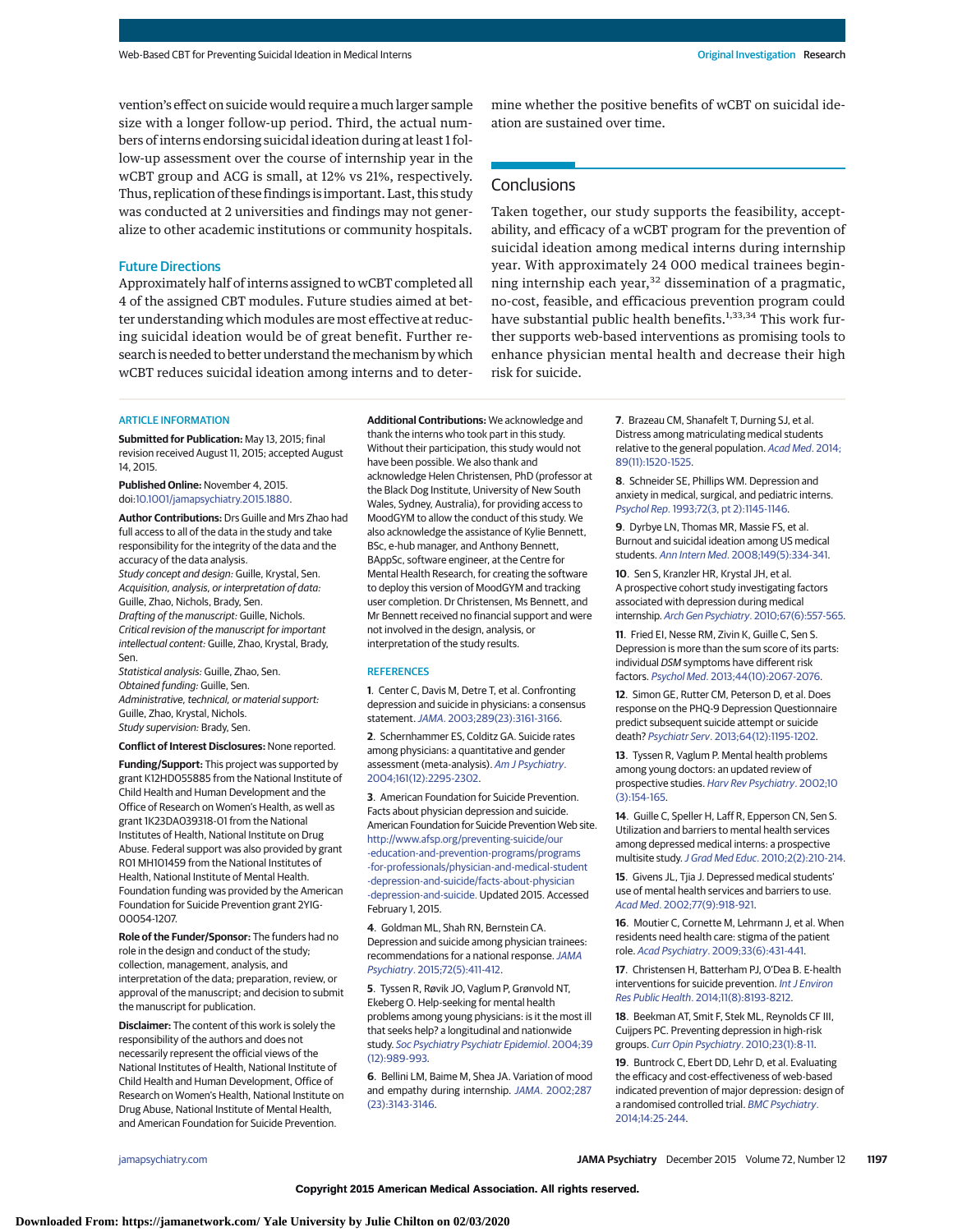vention's effect on suicide would require amuch larger sample size with a longer follow-up period. Third, the actual numbers of interns endorsing suicidal ideation during at least 1 follow-up assessment over the course of internship year in the wCBT group and ACG is small, at 12% vs 21%, respectively. Thus, replication of these findings is important. Last, this study was conducted at 2 universities and findings may not generalize to other academic institutions or community hospitals.

### Future Directions

Approximately half of interns assigned to wCBT completed all 4 of the assigned CBT modules. Future studies aimed at better understanding which modules are most effective at reducing suicidal ideation would be of great benefit. Further research is needed to better understand themechanism by which wCBT reduces suicidal ideation among interns and to deter-

## ARTICLE INFORMATION

**Submitted for Publication:** May 13, 2015; final revision received August 11, 2015; accepted August 14, 2015.

**Published Online:** November 4, 2015. doi[:10.1001/jamapsychiatry.2015.1880.](http://jama.jamanetwork.com/article.aspx?doi=10.1001/jamapsychiatry.2015.1880&utm_campaign=articlePDF%26utm_medium=articlePDFlink%26utm_source=articlePDF%26utm_content=jamapsychiatry.2015.1880)

**Author Contributions:** Drs Guille and Mrs Zhao had full access to all of the data in the study and take responsibility for the integrity of the data and the accuracy of the data analysis. Study concept and design: Guille, Krystal, Sen. Acquisition, analysis, or interpretation of data: Guille, Zhao, Nichols, Brady, Sen. Drafting of the manuscript: Guille, Nichols. Critical revision of the manuscript for important intellectual content: Guille, Zhao, Krystal, Brady, Sen.

Statistical analysis: Guille, Zhao, Sen. Obtained funding: Guille, Sen. Administrative, technical, or material support: Guille, Zhao, Krystal, Nichols. Study supervision: Brady, Sen.

**Conflict of Interest Disclosures:** None reported.

**Funding/Support:** This project was supported by grant K12HD055885 from the National Institute of Child Health and Human Development and the Office of Research on Women's Health, as well as grant 1K23DA039318-01 from the National Institutes of Health, National Institute on Drug Abuse. Federal support was also provided by grant R01 MH101459 from the National Institutes of Health, National Institute of Mental Health. Foundation funding was provided by the American Foundation for Suicide Prevention grant 2YIG-00054-1207.

**Role of the Funder/Sponsor:** The funders had no role in the design and conduct of the study; collection, management, analysis, and interpretation of the data; preparation, review, or approval of the manuscript; and decision to submit the manuscript for publication.

**Disclaimer:** The content of this work is solely the responsibility of the authors and does not necessarily represent the official views of the National Institutes of Health, National Institute of Child Health and Human Development, Office of Research on Women's Health, National Institute on Drug Abuse, National Institute of Mental Health, and American Foundation for Suicide Prevention.

**Additional Contributions:** We acknowledge and thank the interns who took part in this study. Without their participation, this study would not have been possible. We also thank and acknowledge Helen Christensen, PhD (professor at the Black Dog Institute, University of New South Wales, Sydney, Australia), for providing access to MoodGYM to allow the conduct of this study. We also acknowledge the assistance of Kylie Bennett, BSc, e-hub manager, and Anthony Bennett, BAppSc, software engineer, at the Centre for Mental Health Research, for creating the software to deploy this version of MoodGYM and tracking user completion. Dr Christensen, Ms Bennett, and Mr Bennett received no financial support and were not involved in the design, analysis, or interpretation of the study results.

#### **REFERENCES**

**1**. Center C, Davis M, Detre T, et al. Confronting depression and suicide in physicians: a consensus statement.JAMA[. 2003;289\(23\):3161-3166.](http://www.ncbi.nlm.nih.gov/pubmed/12813122)

**2**. Schernhammer ES, Colditz GA. Suicide rates among physicians: a quantitative and gender assessment (meta-analysis). [Am J Psychiatry](http://www.ncbi.nlm.nih.gov/pubmed/15569903). [2004;161\(12\):2295-2302.](http://www.ncbi.nlm.nih.gov/pubmed/15569903)

**3**. American Foundation for Suicide Prevention. Facts about physician depression and suicide. American Foundation for Suicide Prevention Web site. [http://www.afsp.org/preventing-suicide/our](http://www.afsp.org/preventing-suicide/our-education-and-prevention-programs/programs-for-professionals/physician-and-medical-student-depression-and-suicide/facts-about-physician-depression-and-suicide) [-education-and-prevention-programs/programs](http://www.afsp.org/preventing-suicide/our-education-and-prevention-programs/programs-for-professionals/physician-and-medical-student-depression-and-suicide/facts-about-physician-depression-and-suicide) [-for-professionals/physician-and-medical-student](http://www.afsp.org/preventing-suicide/our-education-and-prevention-programs/programs-for-professionals/physician-and-medical-student-depression-and-suicide/facts-about-physician-depression-and-suicide) [-depression-and-suicide/facts-about-physician](http://www.afsp.org/preventing-suicide/our-education-and-prevention-programs/programs-for-professionals/physician-and-medical-student-depression-and-suicide/facts-about-physician-depression-and-suicide) [-depression-and-suicide.](http://www.afsp.org/preventing-suicide/our-education-and-prevention-programs/programs-for-professionals/physician-and-medical-student-depression-and-suicide/facts-about-physician-depression-and-suicide) Updated 2015. Accessed February 1, 2015.

**4**. Goldman ML, Shah RN, Bernstein CA. Depression and suicide among physician trainees: recommendations for a national response. [JAMA](http://www.ncbi.nlm.nih.gov/pubmed/25738529) Psychiatry[. 2015;72\(5\):411-412.](http://www.ncbi.nlm.nih.gov/pubmed/25738529)

**5**. Tyssen R, Røvik JO, Vaglum P, Grønvold NT, Ekeberg O. Help-seeking for mental health problems among young physicians: is it the most ill that seeks help? a longitudinal and nationwide study. [Soc Psychiatry Psychiatr Epidemiol](http://www.ncbi.nlm.nih.gov/pubmed/15583907). 2004;39 [\(12\):989-993.](http://www.ncbi.nlm.nih.gov/pubmed/15583907)

**6**. Bellini LM, Baime M, Shea JA. Variation of mood and empathy during internship. JAMA[. 2002;287](http://www.ncbi.nlm.nih.gov/pubmed/12069680) [\(23\):3143-3146.](http://www.ncbi.nlm.nih.gov/pubmed/12069680)

mine whether the positive benefits of wCBT on suicidal ideation are sustained over time.

# **Conclusions**

Taken together, our study supports the feasibility, acceptability, and efficacy of a wCBT program for the prevention of suicidal ideation among medical interns during internship year. With approximately 24 000 medical trainees beginning internship each year, $32$  dissemination of a pragmatic, no-cost, feasible, and efficacious prevention program could have substantial public health benefits.<sup>1,33,34</sup> This work further supports web-based interventions as promising tools to enhance physician mental health and decrease their high risk for suicide.

> **7**. Brazeau CM, Shanafelt T, Durning SJ, et al. Distress among matriculating medical students relative to the general population. [Acad Med](http://www.ncbi.nlm.nih.gov/pubmed/25250752). 2014; [89\(11\):1520-1525.](http://www.ncbi.nlm.nih.gov/pubmed/25250752)

**8**. Schneider SE, Phillips WM. Depression and anxiety in medical, surgical, and pediatric interns. Psychol Rep[. 1993;72\(3, pt 2\):1145-1146.](http://www.ncbi.nlm.nih.gov/pubmed/8337317)

**9**. Dyrbye LN, Thomas MR, Massie FS, et al. Burnout and suicidal ideation among US medical students. Ann Intern Med[. 2008;149\(5\):334-341.](http://www.ncbi.nlm.nih.gov/pubmed/18765703)

**10**. Sen S, Kranzler HR, Krystal JH, et al. A prospective cohort study investigating factors associated with depression during medical internship. Arch Gen Psychiatry[. 2010;67\(6\):557-565.](http://www.ncbi.nlm.nih.gov/pubmed/20368500)

**11**. Fried EI, Nesse RM, Zivin K, Guille C, Sen S. Depression is more than the sum score of its parts: individual DSM symptoms have different risk factors. Psychol Med[. 2013;44\(10\):2067-2076.](http://www.ncbi.nlm.nih.gov/pubmed/24289852)

**12**. Simon GE, Rutter CM, Peterson D, et al. Does response on the PHQ-9 Depression Questionnaire predict subsequent suicide attempt or suicide death? Psychiatr Serv[. 2013;64\(12\):1195-1202.](http://www.ncbi.nlm.nih.gov/pubmed/24036589)

**13**. Tyssen R, Vaglum P. Mental health problems among young doctors: an updated review of prospective studies. [Harv Rev Psychiatry](http://www.ncbi.nlm.nih.gov/pubmed/12023930). 2002;10 [\(3\):154-165.](http://www.ncbi.nlm.nih.gov/pubmed/12023930)

**14**. Guille C, Speller H, Laff R, Epperson CN, Sen S. Utilization and barriers to mental health services among depressed medical interns: a prospective multisite study.J Grad Med Educ[. 2010;2\(2\):210-214.](http://www.ncbi.nlm.nih.gov/pubmed/21975622)

**15**. Givens JL, Tjia J. Depressed medical students' use of mental health services and barriers to use. Acad Med[. 2002;77\(9\):918-921.](http://www.ncbi.nlm.nih.gov/pubmed/12228091)

**16**. Moutier C, Cornette M, Lehrmann J, et al. When residents need health care: stigma of the patient role. Acad Psychiatry[. 2009;33\(6\):431-441.](http://www.ncbi.nlm.nih.gov/pubmed/19933883)

**17**. Christensen H, Batterham PJ, O'Dea B. E-health interventions for suicide prevention. [Int J Environ](http://www.ncbi.nlm.nih.gov/pubmed/25119698) Res Public Health[. 2014;11\(8\):8193-8212.](http://www.ncbi.nlm.nih.gov/pubmed/25119698)

**18**. Beekman AT, Smit F, Stek ML, Reynolds CF III, Cuijpers PC. Preventing depression in high-risk groups. [Curr Opin Psychiatry](http://www.ncbi.nlm.nih.gov/pubmed/19901835). 2010;23(1):8-11.

**19**. Buntrock C, Ebert DD, Lehr D, et al. Evaluating the efficacy and cost-effectiveness of web-based indicated prevention of major depression: design of a randomised controlled trial. [BMC Psychiatry](http://www.ncbi.nlm.nih.gov/pubmed/24485283). [2014;14:25-244.](http://www.ncbi.nlm.nih.gov/pubmed/24485283)